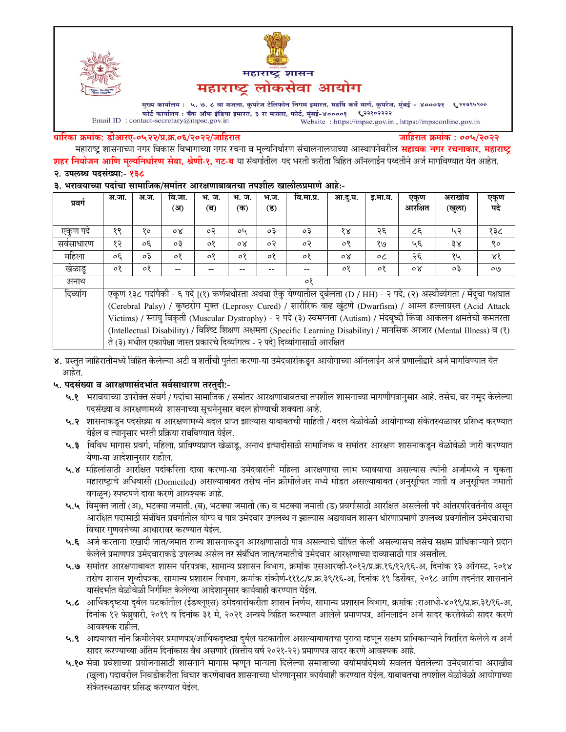



मुख्य कार्यालय : ५, ७, ८ वा मजला, कुपरेज टेलिफोन निगम इमारत, महर्षि कर्वे मार्ग, कुपरेज, मुंबई - ४०००२१ ९२९९९९०० फोर्ट कार्यालय : बँक ऑफ इंडिया इमारत, ३ रा मजला, फोर्ट, मुंबई-४००००१ ९२२१०२२२२ Email ID: contact-secretary@mpsc.gov.in Website: https://mpsc.gov.in, https://mpsconline.gov.in

#### धारिका क्रमांक: डीआरए-०५२२/प्र.क्र.०६/२०२२/जाहिरात

जाहिरात क्रमांक : ००५/२०२२

महाराष्ट्र शासनाच्या नगर विकास विभागाच्या नगर रचना व मूल्यनिर्धारण संचालनालयाच्या आस्थापनेवरील **सहायक नगर रचनाकार, महाराष्ट्र** <mark>शहर नियोजन आणि मुल्यनिर्धारण सेवा, श्रेणी-१, गट-ब</mark> या संवर्गातील पद भरती करीता विहित ऑनलाईन पध्दतीने अर्ज मार्गावण्यात येत आहेत. २. उपलब्ध पदसंख्या:- १३८

#### ३. भरावयाच्या पदांचा सामाजिक/समांतर आरक्षणाबाबतचा तपशील खालीलप्रमाणे आहे:-

| प्रवर्ग    | अ.जा.                                                                                                                      | अ.ज.    | वि.जा.         | भ. ज.   | भ. ज.   | भ.ज. | वि.मा.प्र. | आ.द.घ.         | इ.मा.व. | एकृण    | अराखीव | एकूण<br>पदे |
|------------|----------------------------------------------------------------------------------------------------------------------------|---------|----------------|---------|---------|------|------------|----------------|---------|---------|--------|-------------|
|            |                                                                                                                            |         | (अ)            | (ब)     | (क)     | (ड)  |            |                |         | आरक्षित | (खुला) |             |
|            |                                                                                                                            |         |                |         |         |      |            |                |         |         |        |             |
| एकूण पदे   | १९                                                                                                                         | १०      | $\circ \times$ | $\circ$ | oh      | oЗ   | $\circ$ 3  | १४             | २६      | ८६      | ५२     | १३८         |
| सर्वसाधारण | १२                                                                                                                         | oξ      | оĘ             | ०१      | οX      | ०२   | $\circ$    | ०९             | १७      | ५६      | ३४     | ९०          |
| महिला      | $30^{\circ}$                                                                                                               | oЗ      | $\circ$        | $\circ$ | $\circ$ | ०१   | ०१         | $\circ \times$ | $\circ$ | २६      | १५     | $8\delta$   |
| खेळाडू     | $\circ$                                                                                                                    | $\circ$ |                |         |         |      | --         | ०१             | $\circ$ | oγ      | оĘ     | O/O         |
| अनाथ       | $\circ$                                                                                                                    |         |                |         |         |      |            |                |         |         |        |             |
| दिव्यांग   | एकूण १३८ पदांपैकी - ६ पदे [(१) कर्णबधीरता अथवा ऐकु येण्यातील दुर्बलता (D / HH) - २ पदे, (२) अस्थीव्यंगता / मेंदुचा पक्षघात |         |                |         |         |      |            |                |         |         |        |             |
|            | (Cerebral Palsy) / कुष्ठरोग मुक्त (Leprosy Cured) / शारीरिक वाढ खुंटणे (Dwarfism) / आम्ल हल्लाग्रस्त (Acid Attack          |         |                |         |         |      |            |                |         |         |        |             |
|            | Victims) / स्नायु विकृती (Muscular Dystrophy) - २ पदे (३) स्वमग्नता (Autism) / मंदब्ध्दी किंवा आकलन क्षमतेची कमतरता        |         |                |         |         |      |            |                |         |         |        |             |
|            | (Intellectual Disability) / विश्च्टि शिक्षण अक्षमता (Specific Learning Disability) / मानसिक आजार (Mental Illness) व (१)    |         |                |         |         |      |            |                |         |         |        |             |
|            | ते (३) मधील एकापेक्षा जास्त प्रकारचे दिव्यांगत्व - २ पदे] दिव्यांगासाठी आरक्षित                                            |         |                |         |         |      |            |                |         |         |        |             |

४. प्रस्तुत जाहिरातीमध्ये विहित केलेल्या अटी व शर्तीची पुर्तता करणा-या उमेदवारांकडून आयोगाच्या ऑनलाईन अर्ज प्रणालीद्वारे अर्ज मार्गावण्यात येत आहेत.

## ५. पदसंख्या व आरक्षणासंदर्भात सर्वसाधारण तरतुदी:-

- ५.१ भरावयाच्या उपरोक्त संवर्ग / पदांचा सामाजिक / समांतर आरक्षणाबाबतचा तपशील शासनाच्या मागणीपत्रानुसार आहे. तसेच, वर नमूद केलेल्या पदसंख्या व आरक्षणामध्ये शासनाच्या सूचनेनुसार बदल होण्याची शक्यता आहे.
- ५.२ शासनाकडून पदसंख्या व आरक्षणामध्ये बदल प्राप्त झाल्यास याबाबतची माहिती / बदल वेळोवेळी आयोगाच्या संकेतस्थळावर प्रसिध्द करण्यात येईल व त्यानुसार भरती प्रक्रिया राबविण्यात येईल.
- ५.३ विविध मागास प्रवर्ग, महिला, प्राविण्यप्राप्त खेळाडू, अनाथ इत्यादींसाठी सामाजिक व समांतर आरक्षण शासनाकडून वेळोवेळी जारी करण्यात येणा-या आदेशानुसार राहील.
- ५.४ महिलांसाठी आरक्षित पदांकरिता दावा करणा-या उमेदवारांनी महिला आरक्षणाचा लाभ घ्यावयाचा असल्यास त्यांनी अर्जामध्ये न चुकता महाराष्ट्राचे अधिवासी (Domiciled) असल्याबाबत तसेच नॉन क्रीमीलेअर मध्ये मोडत असल्याबाबत (अनुसूचित जाती व अनुसूचित जमाती वगळून) स्पष्टपणे दावा करणे आवश्यक आहे.
- ५.५ विमुक्त जाती (अ), भटक्या जमाती. (ब), भटक्या जमाती (क) व भटक्या जमाती (ड) प्रवर्गासाठी आरक्षित असलेली पदे आंतरपरिवर्तनीय असून आरक्षित पदासाठी संबंधित प्रवर्गातील योग्य व पात्र उमेदवार उपलब्ध न झाल्यास अद्ययावत शासन धोरणाप्रमाणे उपलब्ध प्रवर्गातील उमेदवाराचा विचार गणवत्तेच्या आधारावर करण्यात येईल.
- ५.६ अर्ज करताना एखादी जात/जमात राज्य शासनाकडून आरक्षणासाठी पात्र असल्याचे घोषित केली असल्यासच तसेच सक्षम प्राधिकाऱ्याने प्रदान केलेले प्रमाणपत्र उमेदवाराकडे उपलब्ध असेल तर संबंधित जात/जमातीचे उमेदवार आरक्षणाच्या दाव्यासाठी पात्र असतील.
- ५.७ समांतर आरक्षणाबाबत शासन परिपत्रक, सामान्य प्रशासन विभाग, क्रमांक एसआरव्ही-१०१२/प्र.क्र.१६/१२/१६-अ, दिनांक १३ ऑगस्ट, २०१४ तसेच शासन शुध्दीपत्रक, सामान्य प्रशासन विभाग, क्रमांक संकोर्ण-१११८/प्र.क्र.३९/१६-अ, दिनांक १९ डिसेंबर, २०१८ आणि तदनंतर शासनाने यासंदर्भात वेळोवेळी निर्गमित केलेल्या आदेशानुसार कार्यवाही करण्यात येईल.
- ५.८ आर्थिकदृष्टया दुर्बल घटकांतील (ईडब्लूएस) उमेदवारांकरीता शासन निर्णय, सामान्य प्रशासन विभाग, क्रमांक :राआधो-४०१९/प्र.क्र.३१/१६-अ, दिनांक १२ फेब्रुवारी, २०१९ व दिनांक ३१ मे, २०२१ अन्वये विहित करण्यात आलेले प्रमाणपत्र, ऑनलाईन अर्ज सादर करतेवेळी सादर करणे आवश्यक राहील.
- ५.९ अद्ययावत नॉन क्रिमीलेयर प्रमाणपत्र/आर्थिकदृष्ट्या दुर्बल घटकातील असल्याबाबतचा पुरावा म्हणून सक्षम प्राधिकाऱ्याने वितरित केलेले व अर्ज सादर करण्याच्या अंतिम दिनांकास वैध असणारे (वित्तीय वर्ष २०२१-२२) प्रमाणपत्र सादर करणे आवश्यक आहे.
- ५.१० सेवा प्रवेशाच्या प्रयोजनासाठी शासनाने मागास म्हणून मान्यता दिलेल्या समाजाच्या वयोमर्यादेमध्ये सवलत घेतलेल्या उमेदवारांचा अराखीव (खुला) पदावरील निवडीकरीता विचार करणेबाबत शासनाच्या धोरणानुसार कार्यवाही करण्यात येईल. याबाबतचा तपशील वेळोवेळी आयोगाच्या संकेतस्थळावर प्रसिद्ध करण्यात येईल.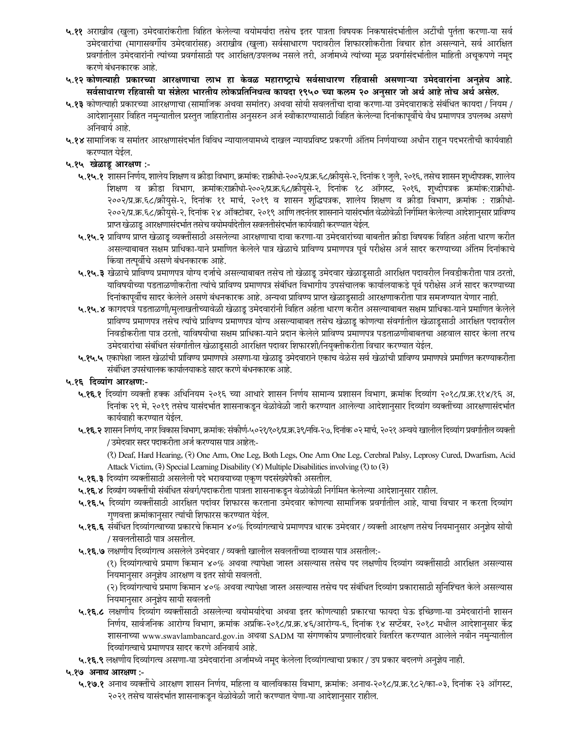- ५.११ अराखीव (खुला) उमेदवारांकरीता विहित केलेल्या वयोमर्यादा तसेच इतर पात्रता विषयक निकषासंदर्भातील अटींची पुर्तता करणा-या सर्व उमेदवारांचा (मागासवर्गीय उमेदवारांसह) अराखीव (खुला) सर्वसाधारण पदावरील शिफारशीकरीता विचार होत असल्याने, सर्व आरक्षित प्रवर्गातील उमेदवारांनी त्यांच्या प्रवर्गासाठी पद आरक्षित/उपलब्ध नसले तरी, अर्जामध्ये त्यांच्या मूळ प्रवर्गासंदर्भातील माहिती अचूकपणे नमूद करणे बंधनकारक आहे.
- ५.१२ कोणत्याही प्रकारच्या आरक्षणाचा लाभ हा केवळ महाराष्ट्राचे सर्वसाधारण रहिवासी असणाऱ्या उमेदवारांना अनुज्ञेय आहे. सर्वसाधारण रहिवासी या संज्ञेला भारतीय लोकप्रतिनिधत्व कायदा १९५० च्या कलम २० अनुसार जो अर्थ आहे तोच अर्थ असेल.
- ५.१३ कोणत्याही प्रकारच्या आरक्षणाचा (सामाजिक अथवा समांतर) अथवा सोयी सवलतींचा दावा करणा-या उमेदवाराकडे संबंधित कायदा / नियम / आदेशानुसार विहित नमुन्यातील प्रस्तुत जाहिरातीस अनुसरुन अर्ज स्वीकारण्यासाठी विहित केलेल्या दिनांकापूर्वीचे वैध प्रमाणपत्र उपलब्ध असणे अनिवार्य आहे.
- ५.१४ सामाजिक व समांतर आरक्षणासंदर्भात विविध न्यायालयामध्ये दाखल न्यायप्रविष्ट प्रकरणी अंतिम निर्णयाच्या अधीन राहन पदभरतीची कार्यवाही करण्यात येईल.
- ५.१५ खेळाडू आरक्षण :-
	- ५.१५.१ शासन निर्णय, शालेय शिक्षण व क्रीडा विभाग, क्रमांक: राक्रीधो-२००२/प्र.क.६८/क्रीयुसे-२, दिनांक १ जुलै, २०१६, तसेच शासन शुध्दीपत्रक, शालेय शिक्षण व क्रीडा विभाग, क्रमांक:राक्रीधो-२००२/प्र.क्र.६८/क्रीयुसे-२, दिनांक १८ ऑगस्ट, २०१६, शुध्दीपत्रक क्रमांक:राक्रीधो-२००२/प्र.क्र.६८/क्रीयुसे-२, दिनांक ११ मार्च, २०१९ व शासन शुद्धिपत्रक, शालेय शिक्षण व क्रीडा विभाग, क्रमांक : राक्रीधो-२००२/प्र.क्र.६८/क्रीयुसे-२, दिनांक २४ ऑक्टोबर, २०१९ आणि तदनंतर शासनाने यासंदर्भात वेळोवेळी निर्गमित केलेल्या आदेशानुसार प्राविण्य प्राप्त खेळाडू आरक्षणासंदर्भात तसेच वयोमर्यादेतील सवलतीसंदर्भात कार्यवाही करण्यात येईल.
	- ५.१५.२ प्राविण्य प्राप्त खेळाडू व्यक्तींसाठी असलेल्या आरक्षणाचा दावा करणा-या उमेदवारांच्या बाबतीत क्रीडा विषयक विहित अर्हता धारण करीत असल्याबाबत सक्षम प्राधिका-याने प्रमाणित केलेले पात्र खेळाचे प्राविण्य प्रमाणपत्र पूर्व परीक्षेस अर्ज सादर करण्याच्या अंतिम दिनांकाचे किंवा तत्पूर्वीचे असणे बंधनकारक आहे.
	- ५.१५.३ खेळाचे प्राविण्य प्रमाणपत्र योग्य दर्जाचे असल्याबाबत तसेच तो खेळाडू उमेदवार खेळाडूसाठी आरक्षित पदावरील निवडीकरीता पात्र ठरतो, याविषयीच्या पडताळणीकरीता त्यांचे प्राविण्य प्रमाणपत्र संबंधित विभागीय उपसंचालक कार्यालयाकडे पूर्व परीक्षेस अर्ज सादर करण्याच्या दिनांकापूर्वीच सादर केलेले असणे बंधनकारक आहे. अन्यथा प्राविण्य प्राप्त खेळाडूसाठी आरक्षणाकरीता पात्र समजण्यात येणार नाही.
	- ५.१५.४ कागदपत्रे पडताळणी/मुलाखतीच्यावेळी खेळाडू उमेदवारांनी विहित अर्हता धारण करीत असल्याबाबत सक्षम प्राधिका-याने प्रमाणित केलेले प्राविण्य प्रमाणपत्र तसेच त्यांचे प्राविण्य प्रमाणपत्र योग्य असल्याबाबत तसेच खेळाडू कोणत्या संवर्गातील खेळाडूसाठी आरक्षित पदावरील निवडीकरीता पात्र ठरतो, याविषयीचा सक्षम प्राधिका-याने प्रदान केलेले प्राविण्य प्रमाणपत्र पडताळणीबाबतचा अहवाल सादर केला तरच उमेदवारांचा संबंधित संवर्गातील खेळाडूसाठी आरक्षित पदावर शिफारशी/नियुक्तीकरीता विचार करण्यात येईल.
	- ५.१५.५ एकापेक्षा जास्त खेळांची प्राविण्य प्रमाणपत्रे असणा-या खेळाडू उमेदवाराने एकाच वेळेस सर्व खेळांची प्राविण्य प्रमाणपत्रे प्रमाणित करण्याकरीता संबंधित उपसंचालक कार्यालयाकडे सादर करणे बंधनकारक आहे.
- ५.१६ दिव्यांग आरक्षण:-
	- ५.१६.१ दिव्यांग व्यक्ती हक्क अधिनियम २०१६ च्या आधारे शासन निर्णय सामान्य प्रशासन विभाग, क्रमांक दिव्यांग २०१८/प्र.क्र.११४/१६ अ, दिनांक २९ मे, २०१९ तसेच यासंदर्भात शासनाकडून वेळोवेळी जारी करण्यात आलेल्या आदेशानुसार दिव्यांग व्यक्तींच्या आरक्षणासंदर्भात कार्यवाही करण्यात येईल.
	- ५.१६.२ शासन निर्णय, नगर विकास विभाग, क्रमांक: संकोर्ण-५०२१/१०१/प्र.क्र.३९/नवि-२७, दिनांक ०२ मार्च, २०२१ अन्वये खालील दिव्यांग प्रवर्गातील व्यक्ती / उमेदवार सदर पदाकरीता अर्ज करण्यास पात्र आहेत:-
		- (?) Deaf, Hard Hearing, (?) One Arm, One Leg, Both Legs, One Arm One Leg, Cerebral Palsy, Leprosy Cured, Dwarfism, Acid Attack Victim, (3) Special Learning Disability (8) Multiple Disabilities involving (?) to (3)
	- ५.१६.३ दिव्यांग व्यक्तींसाठी असलेली पदे भरावयाच्या एकूण पदसंख्येपैकी असतील.
	- ५.१६.४ दिव्यांग व्यक्तींची संबंधित संवर्ग/पदाकरीता पात्रता शासनाकडून वेळोवेळी निर्गमित केलेल्या आदेशानुसार राहील.
	- ५.१६.५ दिव्यांग व्यक्तींसाठी आरक्षित पदांवर शिफारस करताना उमेदवार कोणत्या सामाजिक प्रवर्गातील आहे, याचा विचार न करता दिव्यांग गुणवत्ता क्रमांकानुसार त्यांची शिफारस करण्यात येईल.
	- ५.१६.६ संबंधित दिव्यांगत्वाच्या प्रकारचे किमान ४०% दिव्यांगत्वाचे प्रमाणपत्र धारक उमेदवार / व्यक्ती आरक्षण तसेच नियमानुसार अनुज्ञेय सोयी / सवलतीसाठी पात्र असतील.
	- ५.१६.७ लक्षणीय दिव्यांगत्व असलेले उमेदवार / व्यक्ती खालील सवलतींच्या दाव्यास पात्र असतील:-
		- (१) दिव्यांगत्वाचे प्रमाण किमान ४०% अथवा त्यापेक्षा जास्त असल्यास तसेच पद लक्षणीय दिव्यांग व्यक्तींसाठी आरक्षित असल्यास नियमानुसार अनुज्ञेय आरक्षण व इतर सोयी सवलती.
		- (२) दिव्यांगत्याचे प्रमाण किमान ४०% अथवा त्यापेक्षा जास्त असल्यास तसेच पद संबंधित दिव्यांग प्रकारासाठी सुनिश्चित केले असल्यास नियमानुसार अनुज्ञेय सायी सवलती
	- ५.१६.८ लक्षणीय दिव्यांग व्यक्तींसाठी असलेल्या वयोमर्यादेचा अथवा इतर कोणत्याही प्रकारचा फायदा घेऊ इच्छिणा-या उमेदवारांनी शासन निर्णय, सार्वजनिक आरोग्य विभाग, क्रमांक अप्रकि-२०१८/प्र.क्र.४६/आरोग्य-६, दिनांक १४ सप्टेंबर, २०१८ मधील आदेशानुसार केंद्र शासनाच्या www.swavlambancard.gov.in अथवा SADM या संगणकीय प्रणालीदवारे वितरित करण्यात आलेले नवीन नमुन्यातील दिव्यांगत्वाचे प्रमाणपत्र सादर करणे अनिवार्य आहे.
	- ५.१६.९ लक्षणीय दिव्यांगत्व असणा-या उमेदवारांना अर्जामध्ये नमूद केलेला दिव्यांगत्वाचा प्रकार / उप प्रकार बदलणे अनुज्ञेय नाही.
- ५.१७ अनाथ आरक्षण :-
	- ५.१७.१ अनाथ व्यक्तींचे आरक्षण शासन निर्णय, महिला व बालविकास विभाग, क्रमांक: अनाथ-२०१८/प्र.क्र.१८२/का-०३, दिनांक २३ ऑगस्ट, २०२१ तसेच यासंदर्भात शासनाकडून वेळोवेळी जारी करण्यात येणा-या आदेशानुसार राहील.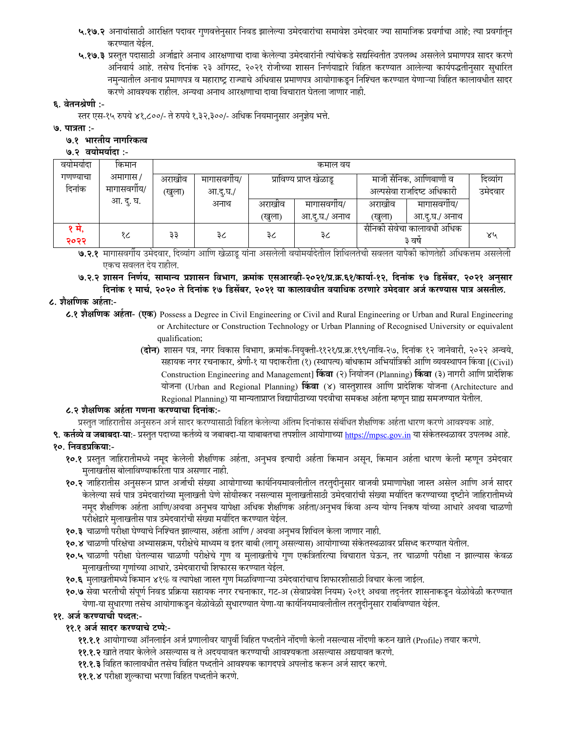- ५.१७.२ अनाथांसाठी आरक्षित पदावर गुणवत्तेनुसार निवड झालेल्या उमेदवारांचा समावेश उमेदवार ज्या सामाजिक प्रवर्गाचा आहे; त्या प्रवर्गातून करण्यात येईल.
- ५.१७.३ प्रस्तुत पदासाठी अर्जाद्वारे अनाथ आरक्षणाचा दावा केलेल्या उमेदवारांनी त्यांचेकडे सद्यस्थितीत उपलब्ध असलेले प्रमाणपत्र सादर करणे अनिवार्य आहे. तसेच दिनांक २३ ऑगस्ट, २०२१ रोजीच्या शासन निर्णयाद्वारे विहित करण्यात आलेल्या कार्यपद्धतीनुसार सुधारित नमुन्यातील अनाथ प्रमाणपत्र व महाराष्ट्र राज्याचे अधिवास प्रमाणपत्र आयोगाकडून निश्चित करण्यात येणाऱ्या विहित कालावधीत सादर करणे आवश्यक राहील. अन्यथा अनाथ आरक्षणाचा दावा विचारात घेतला जाणार नाही.

## ६. वेतनश्रेणी :-

स्तर एस-१५ रुपये ४१,८००/- ते रुपये १,३२,३००/- अधिक नियमानसार अनुज्ञेय भत्ते.

## ७. पात्रता :-

## ७.१ भारतीय नागरिकत्व

## ७.२ वयोमर्यादा :-

| वयामयादा | किमान        | कमाल वय              |          |        |                          |                            |              |          |  |
|----------|--------------|----------------------|----------|--------|--------------------------|----------------------------|--------------|----------|--|
| गणण्याचा | अमागास /     | अराखीव<br>मागासवगीय/ |          |        | प्राविण्य प्राप्त खेळाडू | माजी सैनिक, आणिबाणी व      |              | दिव्यांग |  |
| दिनांक   | मागासवर्गीय/ | (खुला)               | आ.दू.घ./ |        |                          | अल्पसेवा राजदिष्ट अधिकारी  |              | उमेदवार  |  |
|          | आ. दु. घ.    |                      | अनाथ     | अराखीव | मागासवगोय/               | अराखीव                     | मागासवगीय/   |          |  |
|          |              |                      |          | (खुला) | आ.द.घ./ अनाथ             | (खुला)                     | आ.द.घ./ अनाथ |          |  |
| १ म,     | १८           | ३३                   | ३८       | ३८     | ३८                       | सैनिकी सेवेचा कालावधी अधिक |              | ४५       |  |
| २०२२     |              |                      |          |        |                          | ३ वर्ष                     |              |          |  |

**७.२.१** मागासवर्गीय उमेदवार, दिव्यांग आणि खेळाडू यांना असलेली वयोमर्यादेतील शिथिलतेची सवलत यापैकी कोणतेही अधिकत्तम असलेली एकच सवलत देय राहील.

७.२.२ शासन निर्णय, सामान्य प्रशासन विभाग, क्रमांक एसआरव्ही-२०२१/प्र.क्र.६१/कार्या-१२, दिनांक १७ डिसेंबर, २०२१ अनुसार

# दिनांक १ मार्च, २०२० ते दिनांक १७ डिसेंबर, २०२१ या कालावधीत वयाधिक ठरणारे उमेदवार अर्ज करण्यास पात्र असतील.

## ८. शैक्षणिक अर्हता:-

८.१ शैक्षणिक अर्हता- (एक) Possess a Degree in Civil Engineering or Civil and Rural Engineering or Urban and Rural Engineering or Architecture or Construction Technology or Urban Planning of Recognised University or equivalent qualification;

> (**दोन**) शासन पत्र, नगर विकास विभाग, क्रमांक-नियुक्ती-११२१/प्र.क्र.१९९/नावि-२७, दिनांक १२ जानेवारी, २०२२ अन्वये, सहायक नगर रचनाकार, श्रेणी-१ या पदाकरीता (१) (स्थापत्य) बांधकाम अभियांत्रिकी आणि व्यवस्थापन किंवा [(Civil) Construction Engineering and Management] किंवा (२) नियोजन (Planning) किंवा (३) नागरी आणि प्रादेशिक योजना (Urban and Regional Planning) किंवा (४) वास्तुशास्त्र आणि प्रादेशिक योजना (Architecture and Regional Planning) या मान्यताप्राप्त विद्यापीठाच्या पदवीचा समकक्ष अर्हता म्हणून ग्राह्य समजण्यात येतील.

## ८.२ शैक्षणिक अर्हता गणना करण्याचा दिनांक:-

प्रस्तुत जाहिरातीस अनुसरुन अर्ज सादर करण्यासाठी विहित केलेल्या अंतिम दिनांकास संबंधित शैक्षणिक अर्हता धारण करणे आवश्यक आहे.

९. कर्तव्ये व जबाबदा-या:- प्रस्तुत पदाच्या कर्तव्ये व जबाबदा-या याबाबतचा तपशील आयोगाच्या https://mpsc.gov.in या संकेतस्थळावर उपलब्ध आहे. १०. निवडप्रकिया:-

- १०.१ प्रस्तुत जाहिरातीमध्ये नमूद केलेली शैक्षणिक अर्हता, अनुभव इत्यादी अर्हता किमान असून, किमान अर्हता धारण केली म्हणून उमेदवार मुलाखतीस बोलाविण्याकरिता पात्र असणार नाही.
- १०.२ जाहिरातीस अनुसरून प्राप्त अर्जाची संख्या आयोगाच्या कार्यनियमावलीतील तरतुदीनुसार वाजवी प्रमाणापेक्षा जास्त असेल आणि अर्ज सादर केलेल्या सर्व पात्र उमेदवारांच्या मुलाखती घेणे सोयीस्कर नसल्यास मुलाखतीसाठी उमेदवारांची संख्या मर्यादित करण्याच्या दृष्टीने जाहिरातीमध्ये नमूद शैक्षणिक अर्हता आणि/अथवा अनुभव यापेक्षा अधिक शैक्षणिक अर्हता/अनुभव किंवा अन्य योग्य निकष यांच्या आधारे अथवा चाळणी परीक्षेद्वारे मुलाखतीस पात्र उमेदवारांची संख्या मर्यादित करण्यात येईल.
- १०.३ चाळणी परीक्षा घेण्याचे निश्चित झाल्यास, अर्हता आणि / अथवा अनुभव शिथिल केला जाणार नाही.
- १०.४ चाळणी परिक्षेचा अभ्यासक्रम, परीक्षेचे माध्यम व इतर बाबी (लागु असल्यास) आयोगाच्या संकेतस्थळावर प्रसिध्द करण्यात येतील.
- १०.५ चाळणी परीक्षा घेतल्यास चाळणी परीक्षेचे गुण व मुलाखतीचे गुण एकत्रितरित्या विचारात घेऊन, तर चाळणी परीक्षा न झाल्यास केवळ मुलाखतीच्या गुणांच्या आधारे, उमेदवाराची शिफारस करण्यात येईल.
- १०.६ मुलाखतीमध्ये किमान ४१% व त्यापेक्षा जास्त गुण मिळविणाऱ्या उमेदवारांचाच शिफारशीसाठी विचार केला जाईल.
- १०.७ सेवा भरतीची संपूर्ण निवड प्रक्रिया सहायक नगर रचनाकार, गट-अ (सेवाप्रवेश नियम) २०११ अथवा तदनंतर शासनाकडून वेळोवेळी करण्यात येणा-या सुधारणा तसेच आयोगाकडून वेळोवेळी सुधारण्यात येणा-या कार्यनियमावलीतील तरतुदीनुसार राबविण्यात येईल.

## ११. अर्ज करण्याची पध्दत:-

## ११.१ अर्ज सादर करण्याचे टप्पे:-

- ११.१.१ आयोगाच्या ऑनलाईन अर्ज प्रणालीवर यापुर्वी विहित पध्दतीने नोंदणी केली नसल्यास नोंदणी करुन खाते (Profile) तयार करणे.
- ११.१.२ खाते तयार केलेले असल्यास व ते अदययावत करण्याची आवश्यकता असल्यास अद्ययावत करणे.
- ११.१.३ विहित कालावधीत तसेच विहित पध्दतीने आवश्यक कागदपत्रे अपलोड करून अर्ज सादर करणे.
- ११.१.४ परीक्षा शुल्काचा भरणा विहित पध्दतीने करणे.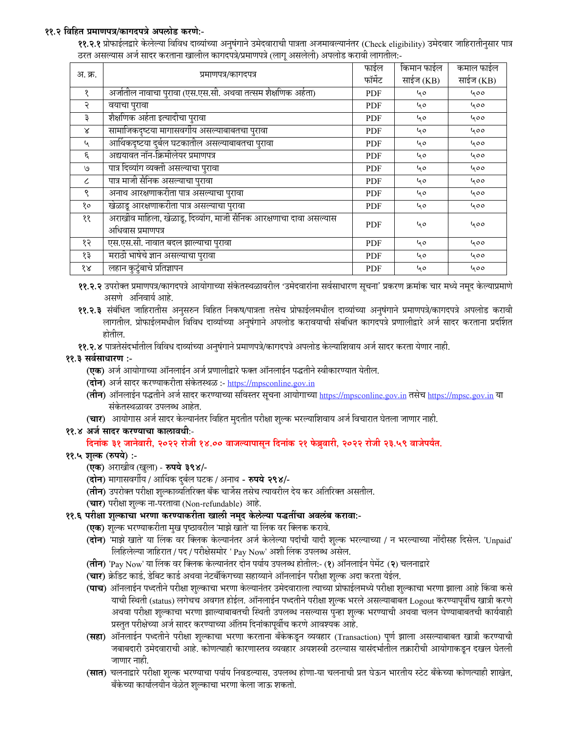## ११.२ विहित प्रमाणपत्र/कागदपत्रे अपलोड करणे:-

**११.२.१** प्रोफाईलद्वारे केलेल्या विविध दाव्यांच्या अनुषंगाने उमेदवाराची पात्रता अजमावल्यानंतर (Check eligibility) उमेदवार जाहिरातीनुसार पात्र ठरत असल्यास अर्ज सादर करताना खालील कागदपत्रे/प्रमाणपत्रे (लागू असलेली) अपलोड करावी लागतील:-

|                             |                                                                    | फाईल       | किमान फाईल | कमाल फाईल |  |
|-----------------------------|--------------------------------------------------------------------|------------|------------|-----------|--|
| अ. क्र.                     | प्रमाणपत्र/कागदपत्र                                                | फॉर्मेट    | साईज (KB)  | साईज (KB) |  |
| १                           | अर्जातील नावाचा पुरावा (एस.एस.सी. अथवा तत्सम शैक्षणिक अर्हता)      | <b>PDF</b> | 40         | 400       |  |
| २                           | वयाचा पुरावा                                                       | PDF        | 40         | ५००       |  |
| ₹                           | शैक्षणिक अर्हता इत्यादीचा पुरावा                                   | <b>PDF</b> | 40         | 400       |  |
| $\boldsymbol{\lambda}$      | सामाजिकदृष्टया मागासवर्गीय असल्याबाबतचा पुरावा                     | <b>PDF</b> | 40         | ५००       |  |
| $\mathcal{L}_{\mathcal{A}}$ | आर्थिकदृष्टया दुर्बल घटकातील असल्याबाबतचा पुरावा                   | <b>PDF</b> | 40         | 400       |  |
| $\epsilon$                  | अद्ययावत नॉन-क्रिमीलेयर प्रमाणपत्र                                 | <b>PDF</b> | 40         | 400       |  |
| $\mathcal{O}$               | पात्र दिव्यांग व्यक्ती असल्याचा पुरावा                             | <b>PDF</b> | 40         | 400       |  |
| ८                           | पात्र माजी सैनिक असल्याचा पुरावा                                   | <b>PDF</b> | 40         | ५००       |  |
| ९                           | अनाथ आरक्षणाकरीता पात्र असल्याचा पुरावा                            | <b>PDF</b> | 40         | 400       |  |
| १०                          | खेळाडू आरक्षणाकरीता पात्र असल्याचा पुरावा                          | <b>PDF</b> | 40         | 400       |  |
| ११                          | अराखीव माहिला, खेळाडू, दिव्यांग, माजी सैनिक आरक्षणाचा दावा असल्यास | <b>PDF</b> | 40         | 400       |  |
|                             | अधिवास प्रमाणपत्र                                                  |            |            |           |  |
| १२                          | एस.एस.सी. नावात बदल झाल्याचा पुरावा                                | <b>PDF</b> | 40         | 400       |  |
| १३                          | मराठी भाषेचे ज्ञान असल्याचा पुरावा                                 | <b>PDF</b> | 40         | 400       |  |
| १४                          | लहान कुटुंबाचे प्रतिज्ञापन                                         | <b>PDF</b> | 40         | 400       |  |

११.२.२ उपरोक्त प्रमाणपत्र/कागदपत्रे आयोगाच्या संकेतस्थळावरील 'उमेदवारांना सर्वसाधारण सूचना' प्रकरण क्रमांक चार मध्ये नमूद केल्याप्रमाणे असणे अनिवार्य आहे.

११.२.३ संबंधित जाहिरातीस अनुसरुन विहित निकष/पात्रता तसेच प्रोफाईलमधील दाव्यांच्या अनुषंगाने प्रमाणपत्रे/कागदपत्रे अपलोड करावी लागतील. प्रोफाईलमधील विविध दाव्यांच्या अनुषंगाने अपलोड करावयाची संबधित कागदपत्रे प्रणालीद्वारे अर्ज सादर करताना प्रदर्शित होतील.

११.२.४ पात्रतेसंदर्भातील विविध दाव्यांच्या अनुषंगाने प्रमाणपत्रे/कागदपत्रे अपलोड केल्याशिवाय अर्ज सादर करता येणार नाही.

#### ११.३ सर्वसाधारण :-

- (एक) अर्ज आयोगाच्या ऑनलाईन अर्ज प्रणालीद्वारे फक्त ऑनलाईन पद्धतीने स्वीकारण्यात येतील.
- (दोन) अर्ज सादर करण्याकरीता संकेतस्थळ :- https://mpsconline.gov.in
- (तीन) ऑनलाईन पद्धतीने अर्ज सादर करण्याच्या सविस्तर सूचना आयोगाच्या https://mpsconline.gov.in तसेच https://mpsc.gov.in या संकेतस्थळावर उपलब्ध आहेत.
- (चार) आयोगास अर्ज सादर केल्यानंतर विहित मुदतीत परीक्षा शुल्क भरल्याशिवाय अर्ज विचारात घेतला जाणार नाही.

## ११.४ अर्ज सादर करण्याचा कालावधीः-

## दिनांक ३१ जानेवारी, २०२२ रोजी १४.०० वाजल्यापासून दिनांक २१ फेब्रुवारी, २०२२ रोजी २३.५९ वाजेपर्यंत.

- ११.५ शुल्क (रुपये) :-
	- (एक) अराखीव (खुला) रुपये ३९४/-
	- (दोन) मागासवर्गीय / आर्थिक दुर्बल घटक / अनाथ रुपये २९४/-
	- (**तीन**) उपरोक्त परीक्षा शुल्काव्यतिरिक्त बँक चार्जेस तसेच त्यावरील देय कर अतिरिक्त असतील.
	- (चार) परीक्षा शुल्क ना-परतावा (Non-refundable) आहे.

## ११.६ परीक्षा शुल्काचा भरणा करण्याकरीता खाली नमूद केलेल्या पद्धतींचा अवलंब करावा:-

- **(एक)** शुल्क भरण्याकरीता मुख पृष्ठावरील 'माझे खाते' या लिंक वर क्लिक करावे.
- (**दोन**) 'माझे खाते' या लिंक वर क्लिक केल्यानंतर अर्ज केलेल्या पदांची यादी शुल्क भरल्याच्या / न भरल्याच्या नोंदीसह दिसेल. 'Unpaid' लिहिलेल्या जाहिरात / पद / परीक्षेसमोर ' Pay Now' अशी लिंक उपलब्ध असेल.
- (**तीन**) 'Pay Now' या लिंक वर क्लिक केल्यानंतर दोन पर्याय उपलब्ध होतील:- (१) ऑनलाईन पेमेंट (२) चलनाद्वारे
- (**चार**) क्रेडिट कार्ड, डेबिट कार्ड अथवा नेटबँकिंगच्या सहाय्याने ऑनलाईन परीक्षा शुल्क अदा करता येईल.
- **(पाच)** ऑनलाईन पध्दतीने परीक्षा शुल्काचा भरणा केल्यानंतर उमेदवाराला त्याच्या प्रोफाईलमध्ये परीक्षा शुल्काचा भरणा झाला आहे किंवा कसे याची स्थिती (status) लगेचच अवगत होईल. ऑनलाईन पध्दतीने परीक्षा शुल्क भरले असल्याबाबत Logout करण्यापूर्वीच खात्री करणे अथवा परीक्षा शुल्काचा भरणा झाल्याबाबतची स्थिती उपलब्ध नसल्यास पुन्हा शुल्क भरण्याची अथवा चलन घेण्याबाबतची कार्यवाही प्रस्तुत परीक्षेच्या अर्ज सादर करण्याच्या अंतिम दिनांकापूर्वीच करणे आवश्यक आहे.
- (सहा) ऑनलाईन पध्दतीने परीक्षा शुल्काचा भरणा करताना बँकेकडून व्यवहार (Transaction) पूर्ण झाला असल्याबाबत खात्री करण्याची जबाबदारी उमेदवाराची आहे. कोणत्याही कारणास्तव व्यवहार अयशस्वी ठरल्यास यासंदर्भातील तक्रारीची आयोगाकडून दखल घेतली जाणार नाही.
- (**सात**) चलनाद्वारे परीक्षा शुल्क भरण्याचा पर्याय निवडल्यास, उपलब्ध होणा-या चलनाची प्रत घेऊन भारतीय स्टेट बँकेच्या कोणत्याही शाखेत, बँकेच्या कार्यालयीन वेळेत शुल्काचा भरणा केला जाऊ शकतो.